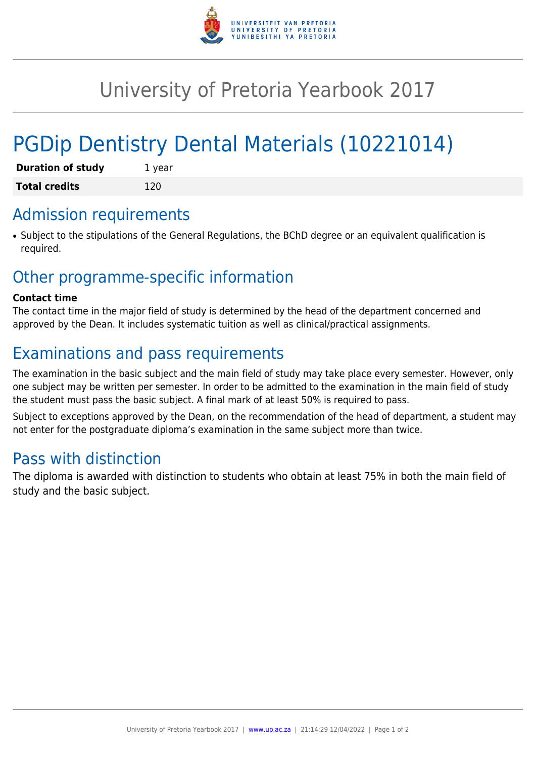

# University of Pretoria Yearbook 2017

# PGDip Dentistry Dental Materials (10221014)

| <b>Duration of study</b> | 1 year |
|--------------------------|--------|
| <b>Total credits</b>     | 120    |

### Admission requirements

• Subject to the stipulations of the General Regulations, the BChD degree or an equivalent qualification is required.

### Other programme-specific information

#### **Contact time**

The contact time in the major field of study is determined by the head of the department concerned and approved by the Dean. It includes systematic tuition as well as clinical/practical assignments.

## Examinations and pass requirements

The examination in the basic subject and the main field of study may take place every semester. However, only one subject may be written per semester. In order to be admitted to the examination in the main field of study the student must pass the basic subject. A final mark of at least 50% is required to pass.

Subject to exceptions approved by the Dean, on the recommendation of the head of department, a student may not enter for the postgraduate diploma's examination in the same subject more than twice.

#### Pass with distinction

The diploma is awarded with distinction to students who obtain at least 75% in both the main field of study and the basic subject.